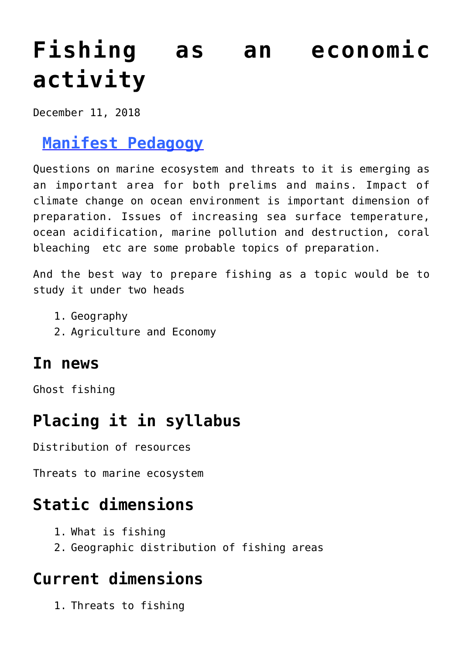# **[Fishing as an economic](https://journalsofindia.com/fishing-as-an-economic-activity/) [activity](https://journalsofindia.com/fishing-as-an-economic-activity/)**

December 11, 2018

# **[Manifest Pedagogy](https://www.manifestias.com/2018/11/05/manifest-pedagogy-looking-beyond-the-issue/)**

Questions on marine ecosystem and threats to it is emerging as an important area for both prelims and mains. Impact of climate change on ocean environment is important dimension of preparation. Issues of increasing sea surface temperature, ocean acidification, marine pollution and destruction, coral bleaching etc are some probable topics of preparation.

And the best way to prepare fishing as a topic would be to study it under two heads

- 1. Geography
- 2. Agriculture and Economy

### **In news**

Ghost fishing

# **Placing it in syllabus**

Distribution of resources

Threats to marine ecosystem

# **Static dimensions**

- 1. What is fishing
- 2. Geographic distribution of fishing areas

# **Current dimensions**

1. Threats to fishing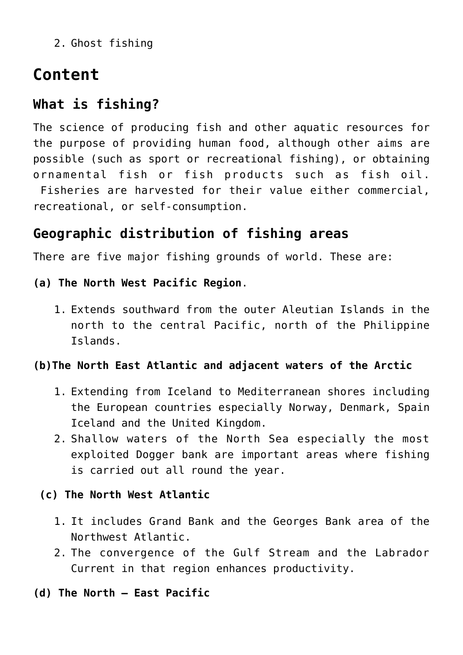2. Ghost fishing

# **Content**

### **What is fishing?**

The science of producing fish and other aquatic resources for the purpose of providing human food, although other aims are possible (such as sport or recreational fishing), or obtaining ornamental fish or fish products such as fish oil. Fisheries are harvested for their value either commercial, recreational, or self-consumption.

### **Geographic distribution of fishing areas**

There are five major fishing grounds of world. These are:

#### **(a) The North West Pacific Region**.

1. Extends southward from the outer Aleutian Islands in the north to the central Pacific, north of the Philippine Islands.

#### **(b)The North East Atlantic and adjacent waters of the Arctic**

- 1. Extending from Iceland to Mediterranean shores including the European countries especially Norway, Denmark, Spain Iceland and the United Kingdom.
- 2. Shallow waters of the North Sea especially the most exploited Dogger bank are important areas where fishing is carried out all round the year.

#### **(c) The North West Atlantic**

- 1. It includes Grand Bank and the Georges Bank area of the Northwest Atlantic.
- 2. The convergence of the Gulf Stream and the Labrador Current in that region enhances productivity.
- **(d) The North East Pacific**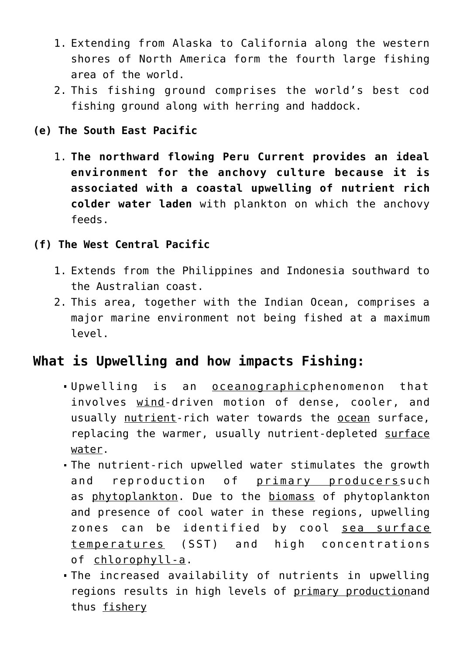- 1. Extending from Alaska to California along the western shores of North America form the fourth large fishing area of the world.
- 2. This fishing ground comprises the world's best cod fishing ground along with herring and haddock.

#### **(e) The South East Pacific**

1. **The northward flowing Peru Current provides an ideal environment for the anchovy culture because it is associated with a coastal upwelling of nutrient rich colder water laden** with plankton on which the anchovy feeds.

#### **(f) The West Central Pacific**

- 1. Extends from the Philippines and Indonesia southward to the Australian coast.
- 2. This area, together with the Indian Ocean, comprises a major marine environment not being fished at a maximum level.

### **What is Upwelling and how impacts Fishing:**

- Upwelling is an [oceanographicp](https://en.wikipedia.org/wiki/Physical_oceanography)henomenon that involves [wind-](https://en.wikipedia.org/wiki/Wind)driven motion of dense, cooler, and usually [nutrient](https://en.wikipedia.org/wiki/Nutrient)-rich water towards the [ocean](https://en.wikipedia.org/wiki/Ocean) surface, replacing the warmer, usually nutrient-depleted [surface](https://en.wikipedia.org/wiki/Surface_water) [water.](https://en.wikipedia.org/wiki/Surface_water)
- The nutrient-rich upwelled water stimulates the growth and reproduction of [primary producers](https://en.wikipedia.org/wiki/Primary_producers)such as [phytoplankton](https://en.wikipedia.org/wiki/Phytoplankton). Due to the [biomass](https://en.wikipedia.org/wiki/Biomass) of phytoplankton and presence of cool water in these regions, upwelling zones can be identified by cool [sea surface](https://en.wikipedia.org/wiki/Sea_surface_temperature) [temperatures](https://en.wikipedia.org/wiki/Sea_surface_temperature) (SST) and high concentrations of [chlorophyll-a](https://en.wikipedia.org/wiki/Chlorophyll-a).
- The increased availability of nutrients in upwelling regions results in high levels of [primary production](https://en.wikipedia.org/wiki/Primary_production)and thus [fishery](https://en.wikipedia.org/wiki/Fishery)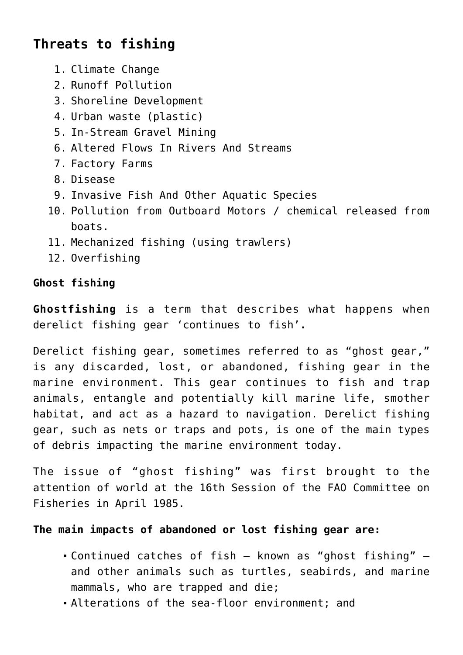### **Threats to fishing**

- 1. Climate Change
- 2. Runoff Pollution
- 3. Shoreline Development
- 4. Urban waste (plastic)
- 5. In-Stream Gravel Mining
- 6. Altered Flows In Rivers And Streams
- 7. Factory Farms
- 8. Disease
- 9. Invasive Fish And Other Aquatic Species
- 10. Pollution from Outboard Motors / chemical released from boats.
- 11. Mechanized fishing (using trawlers)
- 12. Overfishing

#### **Ghost fishing**

**Ghostfishing** is a term that describes what happens when derelict fishing gear 'continues to fish'**.**

Derelict fishing gear, sometimes referred to as "ghost gear," is any discarded, lost, or abandoned, fishing gear in the marine environment. This gear continues to fish and trap animals, entangle and potentially kill marine life, smother habitat, and act as a hazard to navigation. Derelict fishing gear, such as nets or traps and pots, is one of the main types of debris impacting the marine environment today.

The issue of "ghost fishing" was first brought to the attention of world at the 16th Session of the FAO Committee on Fisheries in April 1985.

#### **The main impacts of abandoned or lost fishing gear are:**

- Continued catches of fish known as "ghost fishing" and other animals such as turtles, seabirds, and marine mammals, who are trapped and die;
- Alterations of the sea-floor environment; and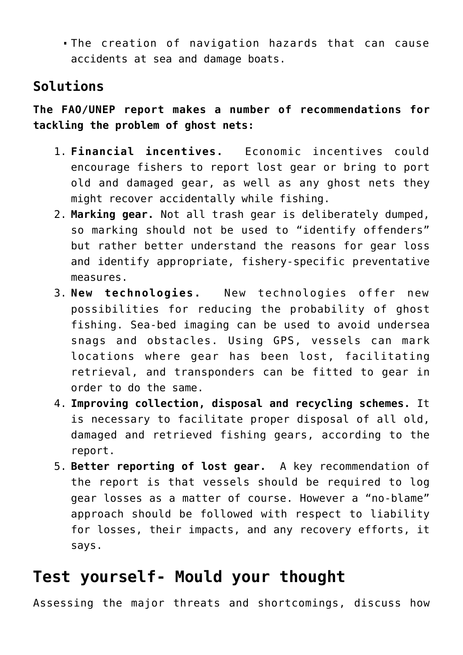The creation of navigation hazards that can cause accidents at sea and damage boats.

### **Solutions**

**The FAO/UNEP report makes a number of recommendations for tackling the problem of ghost nets:**

- 1. **Financial incentives.** Economic incentives could encourage fishers to report lost gear or bring to port old and damaged gear, as well as any ghost nets they might recover accidentally while fishing.
- 2. **Marking gear.** Not all trash gear is deliberately dumped, so marking should not be used to "identify offenders" but rather better understand the reasons for gear loss and identify appropriate, fishery-specific preventative measures.
- 3. **New technologies.** New technologies offer new possibilities for reducing the probability of ghost fishing. Sea-bed imaging can be used to avoid undersea snags and obstacles. Using GPS, vessels can mark locations where gear has been lost, facilitating retrieval, and transponders can be fitted to gear in order to do the same.
- 4. **Improving collection, disposal and recycling schemes.** It is necessary to facilitate proper disposal of all old, damaged and retrieved fishing gears, according to the report.
- 5. **Better reporting of lost gear.** A key recommendation of the report is that vessels should be required to log gear losses as a matter of course. However a "no-blame" approach should be followed with respect to liability for losses, their impacts, and any recovery efforts, it says.

# **Test yourself- Mould your thought**

Assessing the major threats and shortcomings, discuss how